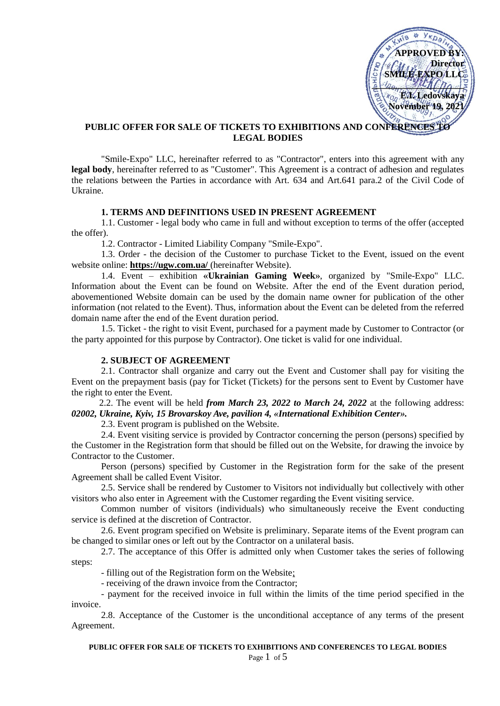

# PUBLIC OFFER FOR SALE OF TICKETS TO EXHIBITIONS AND CONFERENCES **LEGAL BODIES**

"Smile-Expo" LLC, hereinafter referred to as "Contractor", enters into this agreement with any **legal body**, hereinafter referred to as "Customer". This Agreement is a contract of adhesion and regulates the relations between the Parties in accordance with Art. 634 and Art.641 para.2 of the Civil Code of Ukraine.

## **1. TERMS AND DEFINITIONS USED IN PRESENT AGREEMENT**

1.1. Customer - legal body who came in full and without exception to terms of the offer (accepted the offer).

1.2. Contractor - Limited Liability Company "Smile-Expo".

1.3. Order - the decision of the Customer to purchase Ticket to the Event, issued on the event website online: **https://ugw.com.ua/** (hereinafter Website).

1.4. Event – exhibition **«Ukrainian Gaming Week»**, organized by "Smile-Expo" LLC. Information about the Event can be found on Website. After the end of the Event duration period, abovementioned Website domain can be used by the domain name owner for publication of the other information (not related to the Event). Thus, information about the Event can be deleted from the referred domain name after the end of the Event duration period.

1.5. Ticket - the right to visit Event, purchased for a payment made by Customer to Contractor (or the party appointed for this purpose by Contractor). One ticket is valid for one individual.

## **2. SUBJECT OF AGREEMENT**

2.1. Contractor shall organize and carry out the Event and Customer shall pay for visiting the Event on the prepayment basis (pay for Ticket (Tickets) for the persons sent to Event by Customer have the right to enter the Event.

 2.2. The event will be held *from March 23, 2022 to March 24, 2022* at the following address: *02002, Ukraine, Kyiv, 15 Brovarskoy Ave, pavilion 4, «International Exhibition Center».*

2.3. Event program is published on the Website.

2.4. Event visiting service is provided by Contractor concerning the person (persons) specified by the Customer in the Registration form that should be filled out on the Website, for drawing the invoice by Contractor to the Customer.

Person (persons) specified by Customer in the Registration form for the sake of the present Agreement shall be called Event Visitor.

2.5. Service shall be rendered by Customer to Visitors not individually but collectively with other visitors who also enter in Agreement with the Customer regarding the Event visiting service.

Common number of visitors (individuals) who simultaneously receive the Event conducting service is defined at the discretion of Contractor.

2.6. Event program specified on Website is preliminary. Separate items of the Event program can be changed to similar ones or left out by the Contractor on a unilateral basis.

2.7. The acceptance of this Offer is admitted only when Customer takes the series of following steps:

- filling out of the Registration form on the Website;

- receiving of the drawn invoice from the Contractor;

- payment for the received invoice in full within the limits of the time period specified in the invoice.

2.8. Acceptance of the Customer is the unconditional acceptance of any terms of the present Agreement.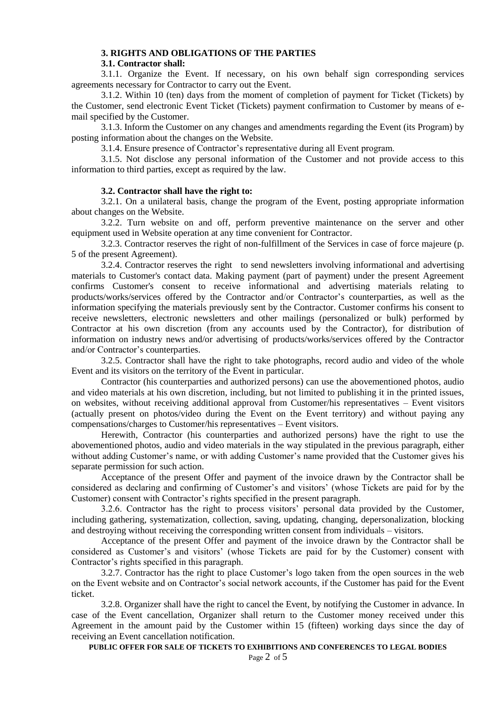## **3. RIGHTS AND OBLIGATIONS OF THE PARTIES**

### **3.1. Contractor shall:**

3.1.1. Organize the Event. If necessary, on his own behalf sign corresponding services agreements necessary for Contractor to carry out the Event.

3.1.2. Within 10 (ten) days from the moment of completion of payment for Ticket (Tickets) by the Customer, send electronic Event Ticket (Tickets) payment confirmation to Customer by means of email specified by the Customer.

3.1.3. Inform the Customer on any changes and amendments regarding the Event (its Program) by posting information about the changes on the Website.

3.1.4. Ensure presence of Contractor's representative during all Event program.

3.1.5. Not disclose any personal information of the Customer and not provide access to this information to third parties, except as required by the law.

## **3.2. Contractor shall have the right to:**

3.2.1. On a unilateral basis, change the program of the Event, posting appropriate information about changes on the Website.

3.2.2. Turn website on and off, perform preventive maintenance on the server and other equipment used in Website operation at any time convenient for Contractor.

3.2.3. Contractor reserves the right of non-fulfillment of the Services in case of force majeure (p. 5 of the present Agreement).

3.2.4. Contractor reserves the right to send newsletters involving informational and advertising materials to Customer's contact data. Making payment (part of payment) under the present Agreement confirms Customer's consent to receive informational and advertising materials relating to products/works/services offered by the Contractor and/or Contractor's counterparties, as well as the information specifying the materials previously sent by the Contractor. Customer confirms his consent to receive newsletters, electronic newsletters and other mailings (personalized or bulk) performed by Contractor at his own discretion (from any accounts used by the Contractor), for distribution of information on industry news and/or advertising of products/works/services offered by the Contractor and/or Contractor's counterparties.

3.2.5. Contractor shall have the right to take photographs, record audio and video of the whole Event and its visitors on the territory of the Event in particular.

Contractor (his counterparties and authorized persons) can use the abovementioned photos, audio and video materials at his own discretion, including, but not limited to publishing it in the printed issues, on websites, without receiving additional approval from Customer/his representatives – Event visitors (actually present on photos/video during the Event on the Event territory) and without paying any compensations/charges to Customer/his representatives – Event visitors.

Herewith, Contractor (his counterparties and authorized persons) have the right to use the abovementioned photos, audio and video materials in the way stipulated in the previous paragraph, either without adding Customer's name, or with adding Customer's name provided that the Customer gives his separate permission for such action.

Acceptance of the present Offer and payment of the invoice drawn by the Contractor shall be considered as declaring and confirming of Customer's and visitors' (whose Tickets are paid for by the Customer) consent with Contractor's rights specified in the present paragraph.

3.2.6. Contractor has the right to process visitors' personal data provided by the Customer, including gathering, systematization, collection, saving, updating, changing, depersonalization, blocking and destroying without receiving the corresponding written consent from individuals – visitors.

Acceptance of the present Offer and payment of the invoice drawn by the Contractor shall be considered as Customer's and visitors' (whose Tickets are paid for by the Customer) consent with Contractor's rights specified in this paragraph.

3.2.7. Contractor has the right to place Customer's logo taken from the open sources in the web on the Event website and on Contractor's social network accounts, if the Customer has paid for the Event ticket.

3.2.8. Organizer shall have the right to cancel the Event, by notifying the Customer in advance. In case of the Event cancellation, Organizer shall return to the Customer money received under this Agreement in the amount paid by the Customer within 15 (fifteen) working days since the day of receiving an Event cancellation notification.

**PUBLIC OFFER FOR SALE OF TICKETS TO EXHIBITIONS AND CONFERENCES TO LEGAL BODIES**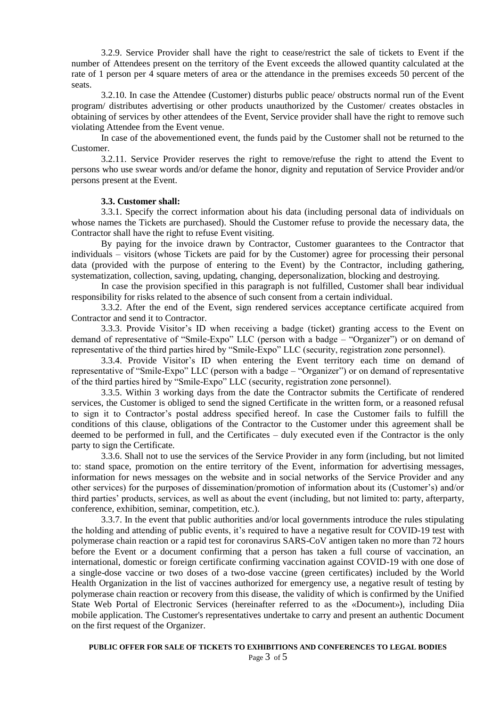3.2.9. Service Provider shall have the right to cease/restrict the sale of tickets to Event if the number of Attendees present on the territory of the Event exceeds the allowed quantity calculated at the rate of 1 person per 4 square meters of area or the attendance in the premises exceeds 50 percent of the seats.

3.2.10. In case the Attendee (Customer) disturbs public peace/ obstructs normal run of the Event program/ distributes advertising or other products unauthorized by the Customer/ creates obstacles in obtaining of services by other attendees of the Event, Service provider shall have the right to remove such violating Attendee from the Event venue.

In case of the abovementioned event, the funds paid by the Customer shall not be returned to the Customer.

3.2.11. Service Provider reserves the right to remove/refuse the right to attend the Event to persons who use swear words and/or defame the honor, dignity and reputation of Service Provider and/or persons present at the Event.

#### **3.3. Customer shall:**

3.3.1. Specify the correct information about his data (including personal data of individuals on whose names the Tickets are purchased). Should the Customer refuse to provide the necessary data, the Contractor shall have the right to refuse Event visiting.

By paying for the invoice drawn by Contractor, Customer guarantees to the Contractor that individuals – visitors (whose Tickets are paid for by the Customer) agree for processing their personal data (provided with the purpose of entering to the Event) by the Contractor, including gathering, systematization, collection, saving, updating, changing, depersonalization, blocking and destroying.

In case the provision specified in this paragraph is not fulfilled, Customer shall bear individual responsibility for risks related to the absence of such consent from a certain individual.

3.3.2. After the end of the Event, sign rendered services acceptance certificate acquired from Contractor and send it to Contractor.

3.3.3. Provide Visitor's ID when receiving a badge (ticket) granting access to the Event on demand of representative of "Smile-Expo" LLC (person with a badge – "Organizer") or on demand of representative of the third parties hired by "Smile-Expo" LLC (security, registration zone personnel).

3.3.4. Provide Visitor's ID when entering the Event territory each time on demand of representative of "Smile-Expo" LLC (person with a badge – "Organizer") or on demand of representative of the third parties hired by "Smile-Expo" LLC (security, registration zone personnel).

3.3.5. Within 3 working days from the date the Contractor submits the Certificate of rendered services, the Customer is obliged to send the signed Certificate in the written form, or a reasoned refusal to sign it to Contractor's postal address specified hereof. In case the Customer fails to fulfill the conditions of this clause, obligations of the Contractor to the Customer under this agreement shall be deemed to be performed in full, and the Certificates – duly executed even if the Contractor is the only party to sign the Certificate.

3.3.6. Shall not to use the services of the Service Provider in any form (including, but not limited to: stand space, promotion on the entire territory of the Event, information for advertising messages, information for news messages on the website and in social networks of the Service Provider and any other services) for the purposes of dissemination/promotion of information about its (Customer's) and/or third parties' products, services, as well as about the event (including, but not limited to: party, afterparty, conference, exhibition, seminar, competition, etc.).

3.3.7. In the event that public authorities and/or local governments introduce the rules stipulating the holding and attending of public events, it's required to have a negative result for COVID-19 test with polymerase chain reaction or a rapid test for coronavirus SARS-CoV antigen taken no more than 72 hours before the Event or a document confirming that a person has taken a full course of vaccination, an international, domestic or foreign certificate confirming vaccination against COVID-19 with one dose of a single-dose vaccine or two doses of a two-dose vaccine (green certificates) included by the World Health Organization in the list of vaccines authorized for emergency use, a negative result of testing by polymerase chain reaction or recovery from this disease, the validity of which is confirmed by the Unified State Web Portal of Electronic Services (hereinafter referred to as the «Document»), including Diia mobile application. The Customer's representatives undertake to carry and present an authentic Document on the first request of the Organizer.

Page 3 of 5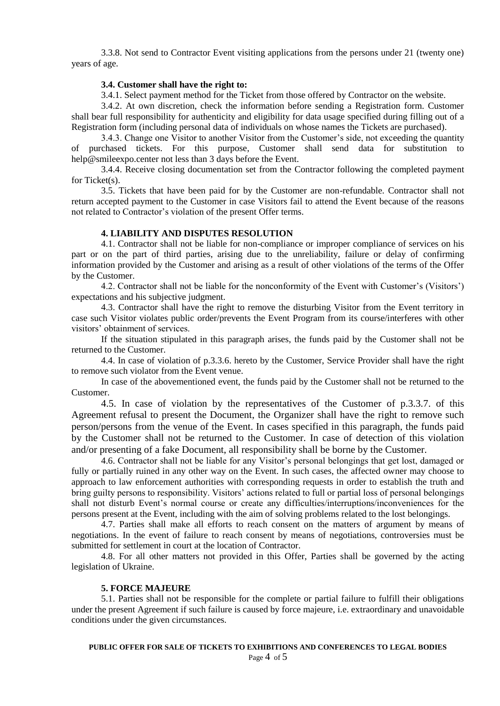3.3.8. Not send to Contractor Event visiting applications from the persons under 21 (twenty one) years of age.

## **3.4. Customer shall have the right to:**

3.4.1. Select payment method for the Ticket from those offered by Contractor on the website.

3.4.2. At own discretion, check the information before sending a Registration form. Customer shall bear full responsibility for authenticity and eligibility for data usage specified during filling out of a Registration form (including personal data of individuals on whose names the Tickets are purchased).

3.4.3. Change one Visitor to another Visitor from the Customer's side, not exceeding the quantity of purchased tickets. For this purpose, Customer shall send data for substitution to help@smileexpo.center not less than 3 days before the Event.

3.4.4. Receive closing documentation set from the Contractor following the completed payment for Ticket(s).

3.5. Tickets that have been paid for by the Customer are non-refundable. Contractor shall not return accepted payment to the Customer in case Visitors fail to attend the Event because of the reasons not related to Contractor's violation of the present Offer terms.

## **4. LIABILITY AND DISPUTES RESOLUTION**

4.1. Contractor shall not be liable for non-compliance or improper compliance of services on his part or on the part of third parties, arising due to the unreliability, failure or delay of confirming information provided by the Customer and arising as a result of other violations of the terms of the Offer by the Customer.

4.2. Contractor shall not be liable for the nonconformity of the Event with Customer's (Visitors') expectations and his subjective judgment.

4.3. Contractor shall have the right to remove the disturbing Visitor from the Event territory in case such Visitor violates public order/prevents the Event Program from its course/interferes with other visitors' obtainment of services.

If the situation stipulated in this paragraph arises, the funds paid by the Customer shall not be returned to the Customer.

4.4. In case of violation of p.3.3.6. hereto by the Customer, Service Provider shall have the right to remove such violator from the Event venue.

In case of the abovementioned event, the funds paid by the Customer shall not be returned to the Customer.

4.5. In case of violation by the representatives of the Customer of p.3.3.7. of this Agreement refusal to present the Document, the Organizer shall have the right to remove such person/persons from the venue of the Event. In cases specified in this paragraph, the funds paid by the Customer shall not be returned to the Customer. In case of detection of this violation and/or presenting of a fake Document, all responsibility shall be borne by the Customer.

4.6. Contractor shall not be liable for any Visitor's personal belongings that get lost, damaged or fully or partially ruined in any other way on the Event. In such cases, the affected owner may choose to approach to law enforcement authorities with corresponding requests in order to establish the truth and bring guilty persons to responsibility. Visitors' actions related to full or partial loss of personal belongings shall not disturb Event's normal course or create any difficulties/interruptions/inconveniences for the persons present at the Event, including with the aim of solving problems related to the lost belongings.

4.7. Parties shall make all efforts to reach consent on the matters of argument by means of negotiations. In the event of failure to reach consent by means of negotiations, controversies must be submitted for settlement in court at the location of Contractor.

4.8. For all other matters not provided in this Offer, Parties shall be governed by the acting legislation of Ukraine.

#### **5. FORCE MAJEURE**

5.1. Parties shall not be responsible for the complete or partial failure to fulfill their obligations under the present Agreement if such failure is caused by force majeure, i.e. extraordinary and unavoidable conditions under the given circumstances.